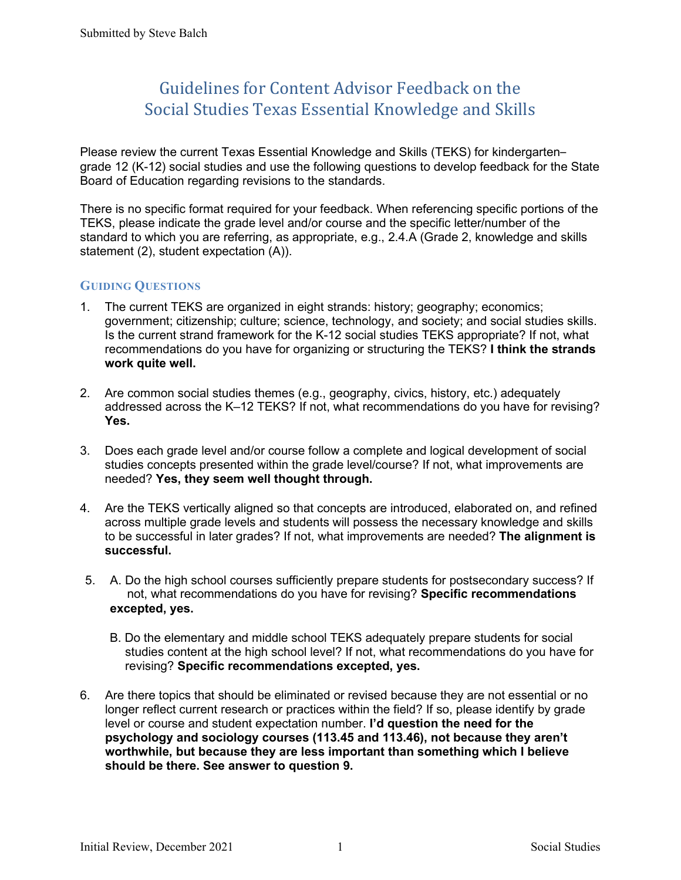# Guidelines for Content Advisor Feedback on the Social Studies Texas Essential Knowledge and Skills

Please review the current Texas Essential Knowledge and Skills (TEKS) for kindergarten– grade 12 (K-12) social studies and use the following questions to develop feedback for the State Board of Education regarding revisions to the standards.

There is no specific format required for your feedback. When referencing specific portions of the TEKS, please indicate the grade level and/or course and the specific letter/number of the standard to which you are referring, as appropriate, e.g., 2.4.A (Grade 2, knowledge and skills statement (2), student expectation (A)).

### **GUIDING QUESTIONS**

- 1. The current TEKS are organized in eight strands: history; geography; economics; government; citizenship; culture; science, technology, and society; and social studies skills. Is the current strand framework for the K-12 social studies TEKS appropriate? If not, what recommendations do you have for organizing or structuring the TEKS? **I think the strands work quite well.**
- 2. Are common social studies themes (e.g., geography, civics, history, etc.) adequately addressed across the K–12 TEKS? If not, what recommendations do you have for revising? **Yes.**
- 3. Does each grade level and/or course follow a complete and logical development of social studies concepts presented within the grade level/course? If not, what improvements are needed? **Yes, they seem well thought through.**
- 4. Are the TEKS vertically aligned so that concepts are introduced, elaborated on, and refined across multiple grade levels and students will possess the necessary knowledge and skills to be successful in later grades? If not, what improvements are needed? **The alignment is successful.**
- 5. A. Do the high school courses sufficiently prepare students for postsecondary success? If not, what recommendations do you have for revising? **Specific recommendations excepted, yes.**
	- B. Do the elementary and middle school TEKS adequately prepare students for social studies content at the high school level? If not, what recommendations do you have for revising? **Specific recommendations excepted, yes.**
- 6. Are there topics that should be eliminated or revised because they are not essential or no longer reflect current research or practices within the field? If so, please identify by grade level or course and student expectation number. **I'd question the need for the psychology and sociology courses (113.45 and 113.46), not because they aren't worthwhile, but because they are less important than something which I believe should be there. See answer to question 9.**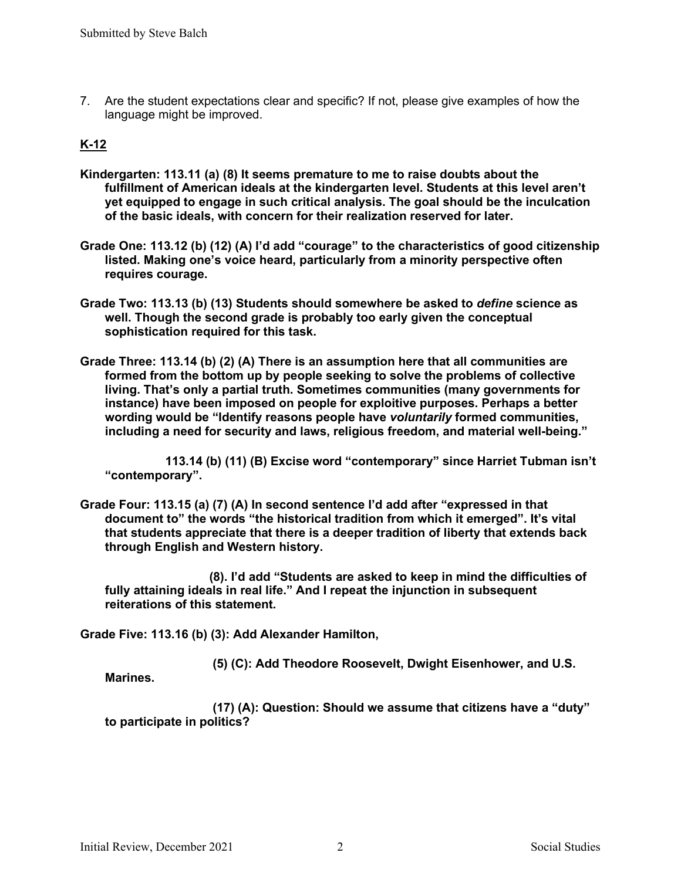7. Are the student expectations clear and specific? If not, please give examples of how the language might be improved.

## **K-12**

- **Kindergarten: 113.11 (a) (8) It seems premature to me to raise doubts about the fulfillment of American ideals at the kindergarten level. Students at this level aren't yet equipped to engage in such critical analysis. The goal should be the inculcation of the basic ideals, with concern for their realization reserved for later.**
- **Grade One: 113.12 (b) (12) (A) I'd add "courage" to the characteristics of good citizenship listed. Making one's voice heard, particularly from a minority perspective often requires courage.**
- **Grade Two: 113.13 (b) (13) Students should somewhere be asked to** *define* **science as well. Though the second grade is probably too early given the conceptual sophistication required for this task.**
- **Grade Three: 113.14 (b) (2) (A) There is an assumption here that all communities are formed from the bottom up by people seeking to solve the problems of collective living. That's only a partial truth. Sometimes communities (many governments for instance) have been imposed on people for exploitive purposes. Perhaps a better wording would be "Identify reasons people have** *voluntarily* **formed communities, including a need for security and laws, religious freedom, and material well-being."**

 **113.14 (b) (11) (B) Excise word "contemporary" since Harriet Tubman isn't "contemporary".** 

**Grade Four: 113.15 (a) (7) (A) In second sentence I'd add after "expressed in that document to" the words "the historical tradition from which it emerged". It's vital that students appreciate that there is a deeper tradition of liberty that extends back through English and Western history.**

 **(8). I'd add "Students are asked to keep in mind the difficulties of fully attaining ideals in real life." And I repeat the injunction in subsequent reiterations of this statement.**

**Grade Five: 113.16 (b) (3): Add Alexander Hamilton,**

**Marines.**

**(5) (C): Add Theodore Roosevelt, Dwight Eisenhower, and U.S.**

**(17) (A): Question: Should we assume that citizens have a "duty" to participate in politics?**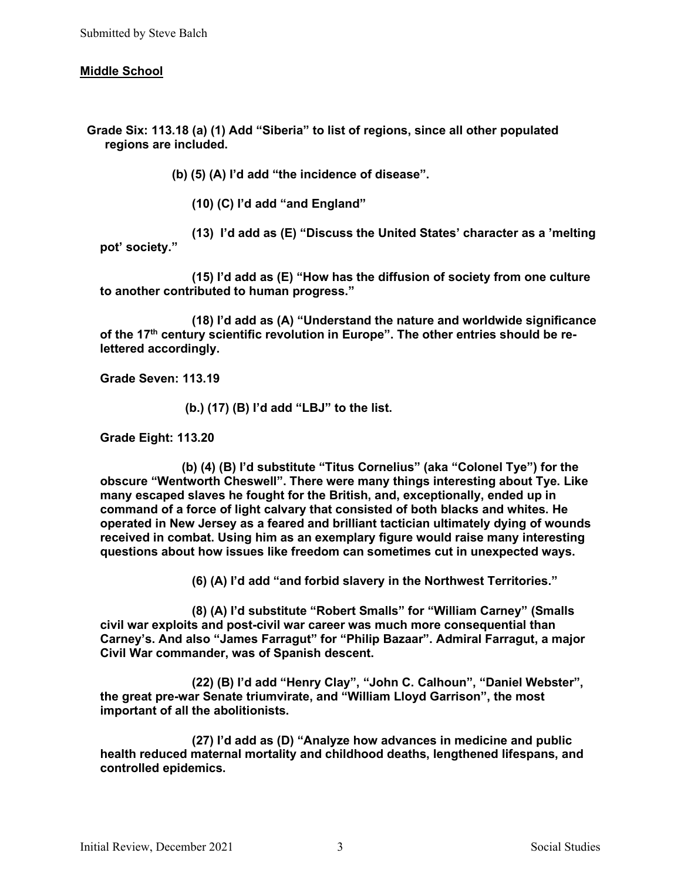#### **Middle School**

 **Grade Six: 113.18 (a) (1) Add "Siberia" to list of regions, since all other populated regions are included.** 

 **(b) (5) (A) I'd add "the incidence of disease".**

 **(10) (C) I'd add "and England"**

 **(13) I'd add as (E) "Discuss the United States' character as a 'melting pot' society."** 

 **(15) I'd add as (E) "How has the diffusion of society from one culture to another contributed to human progress."**

 **(18) I'd add as (A) "Understand the nature and worldwide significance of the 17th century scientific revolution in Europe". The other entries should be relettered accordingly.**

**Grade Seven: 113.19**

 **(b.) (17) (B) I'd add "LBJ" to the list.**

**Grade Eight: 113.20**

 **(b) (4) (B) I'd substitute "Titus Cornelius" (aka "Colonel Tye") for the obscure "Wentworth Cheswell". There were many things interesting about Tye. Like many escaped slaves he fought for the British, and, exceptionally, ended up in command of a force of light calvary that consisted of both blacks and whites. He operated in New Jersey as a feared and brilliant tactician ultimately dying of wounds received in combat. Using him as an exemplary figure would raise many interesting questions about how issues like freedom can sometimes cut in unexpected ways.**

 **(6) (A) I'd add "and forbid slavery in the Northwest Territories."**

 **(8) (A) I'd substitute "Robert Smalls" for "William Carney" (Smalls civil war exploits and post-civil war career was much more consequential than Carney's. And also "James Farragut" for "Philip Bazaar". Admiral Farragut, a major Civil War commander, was of Spanish descent.** 

 **(22) (B) I'd add "Henry Clay", "John C. Calhoun", "Daniel Webster", the great pre-war Senate triumvirate, and "William Lloyd Garrison", the most important of all the abolitionists.** 

 **(27) I'd add as (D) "Analyze how advances in medicine and public health reduced maternal mortality and childhood deaths, lengthened lifespans, and controlled epidemics.**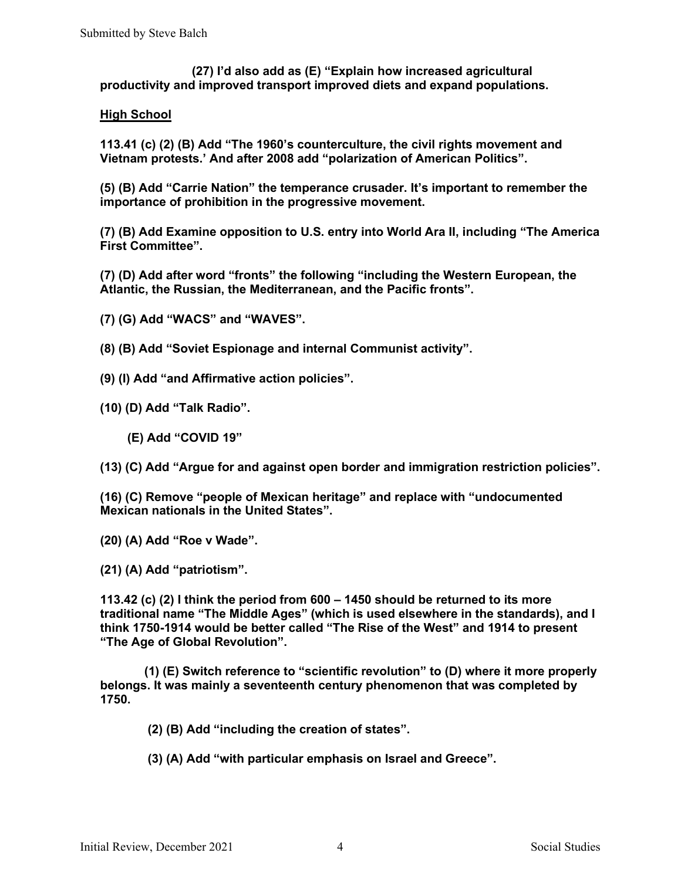**(27) I'd also add as (E) "Explain how increased agricultural productivity and improved transport improved diets and expand populations.** 

### **High School**

**113.41 (c) (2) (B) Add "The 1960's counterculture, the civil rights movement and Vietnam protests.' And after 2008 add "polarization of American Politics".**

**(5) (B) Add "Carrie Nation" the temperance crusader. It's important to remember the importance of prohibition in the progressive movement.** 

**(7) (B) Add Examine opposition to U.S. entry into World Ara II, including "The America First Committee".** 

**(7) (D) Add after word "fronts" the following "including the Western European, the Atlantic, the Russian, the Mediterranean, and the Pacific fronts".**

**(7) (G) Add "WACS" and "WAVES".**

**(8) (B) Add "Soviet Espionage and internal Communist activity".** 

**(9) (I) Add "and Affirmative action policies".**

**(10) (D) Add "Talk Radio".**

 **(E) Add "COVID 19"** 

**(13) (C) Add "Argue for and against open border and immigration restriction policies".**

**(16) (C) Remove "people of Mexican heritage" and replace with "undocumented Mexican nationals in the United States".** 

**(20) (A) Add "Roe v Wade".**

**(21) (A) Add "patriotism".**

**113.42 (c) (2) I think the period from 600 – 1450 should be returned to its more traditional name "The Middle Ages" (which is used elsewhere in the standards), and I think 1750-1914 would be better called "The Rise of the West" and 1914 to present "The Age of Global Revolution".** 

 **(1) (E) Switch reference to "scientific revolution" to (D) where it more properly belongs. It was mainly a seventeenth century phenomenon that was completed by 1750.**

 **(2) (B) Add "including the creation of states".**

 **(3) (A) Add "with particular emphasis on Israel and Greece".**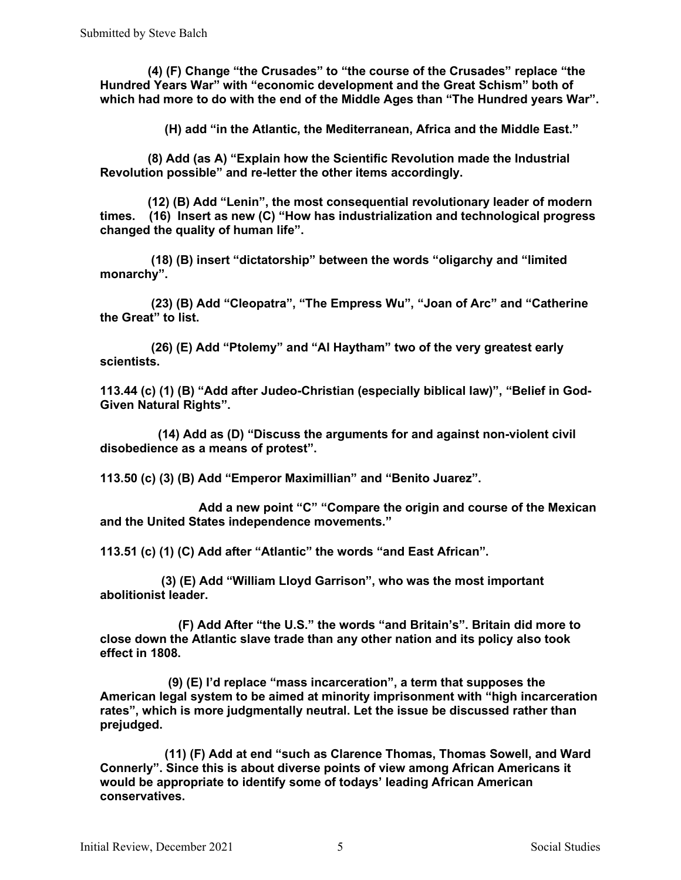**(4) (F) Change "the Crusades" to "the course of the Crusades" replace "the Hundred Years War" with "economic development and the Great Schism" both of which had more to do with the end of the Middle Ages than "The Hundred years War".** 

 **(H) add "in the Atlantic, the Mediterranean, Africa and the Middle East."**

 **(8) Add (as A) "Explain how the Scientific Revolution made the Industrial Revolution possible" and re-letter the other items accordingly.** 

 **(12) (B) Add "Lenin", the most consequential revolutionary leader of modern times. (16) Insert as new (C) "How has industrialization and technological progress changed the quality of human life".**

 **(18) (B) insert "dictatorship" between the words "oligarchy and "limited monarchy".** 

 **(23) (B) Add "Cleopatra", "The Empress Wu", "Joan of Arc" and "Catherine the Great" to list.** 

 **(26) (E) Add "Ptolemy" and "Al Haytham" two of the very greatest early scientists.** 

**113.44 (c) (1) (B) "Add after Judeo-Christian (especially biblical law)", "Belief in God-Given Natural Rights".** 

 **(14) Add as (D) "Discuss the arguments for and against non-violent civil disobedience as a means of protest".**

**113.50 (c) (3) (B) Add "Emperor Maximillian" and "Benito Juarez".** 

 **Add a new point "C" "Compare the origin and course of the Mexican and the United States independence movements."** 

**113.51 (c) (1) (C) Add after "Atlantic" the words "and East African".**

 **(3) (E) Add "William Lloyd Garrison", who was the most important abolitionist leader.**

 **(F) Add After "the U.S." the words "and Britain's". Britain did more to close down the Atlantic slave trade than any other nation and its policy also took effect in 1808.**

 **(9) (E) I'd replace "mass incarceration", a term that supposes the American legal system to be aimed at minority imprisonment with "high incarceration rates", which is more judgmentally neutral. Let the issue be discussed rather than prejudged.**

 **(11) (F) Add at end "such as Clarence Thomas, Thomas Sowell, and Ward Connerly". Since this is about diverse points of view among African Americans it would be appropriate to identify some of todays' leading African American conservatives.**